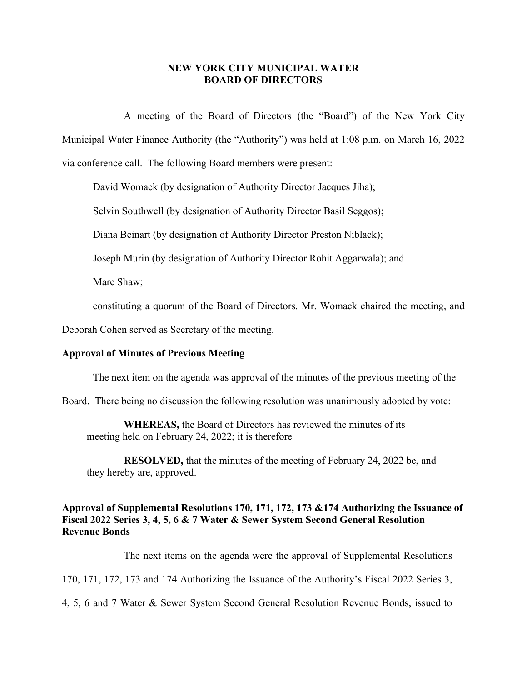## **NEW YORK CITY MUNICIPAL WATER BOARD OF DIRECTORS**

A meeting of the Board of Directors (the "Board") of the New York City Municipal Water Finance Authority (the "Authority") was held at 1:08 p.m. on March 16, 2022 via conference call. The following Board members were present:

David Womack (by designation of Authority Director Jacques Jiha);

Selvin Southwell (by designation of Authority Director Basil Seggos);

Diana Beinart (by designation of Authority Director Preston Niblack);

Joseph Murin (by designation of Authority Director Rohit Aggarwala); and

Marc Shaw;

constituting a quorum of the Board of Directors. Mr. Womack chaired the meeting, and

Deborah Cohen served as Secretary of the meeting.

#### **Approval of Minutes of Previous Meeting**

The next item on the agenda was approval of the minutes of the previous meeting of the

Board. There being no discussion the following resolution was unanimously adopted by vote:

**WHEREAS,** the Board of Directors has reviewed the minutes of its meeting held on February 24, 2022; it is therefore

**RESOLVED,** that the minutes of the meeting of February 24, 2022 be, and they hereby are, approved.

# **Approval of Supplemental Resolutions 170, 171, 172, 173 &174 Authorizing the Issuance of Fiscal 2022 Series 3, 4, 5, 6 & 7 Water & Sewer System Second General Resolution Revenue Bonds**

The next items on the agenda were the approval of Supplemental Resolutions

170, 171, 172, 173 and 174 Authorizing the Issuance of the Authority's Fiscal 2022 Series 3,

4, 5, 6 and 7 Water & Sewer System Second General Resolution Revenue Bonds, issued to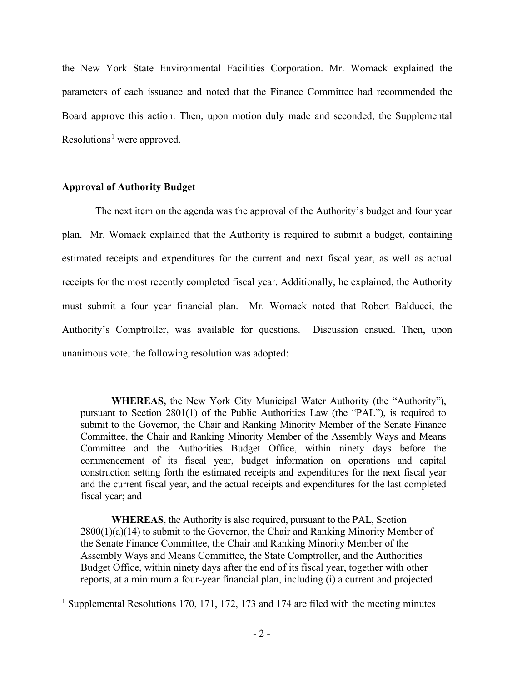the New York State Environmental Facilities Corporation. Mr. Womack explained the parameters of each issuance and noted that the Finance Committee had recommended the Board approve this action. Then, upon motion duly made and seconded, the Supplemental Resolutions<sup>[1](#page-1-0)</sup> were approved.

## **Approval of Authority Budget**

The next item on the agenda was the approval of the Authority's budget and four year plan. Mr. Womack explained that the Authority is required to submit a budget, containing estimated receipts and expenditures for the current and next fiscal year, as well as actual receipts for the most recently completed fiscal year. Additionally, he explained, the Authority must submit a four year financial plan. Mr. Womack noted that Robert Balducci, the Authority's Comptroller, was available for questions. Discussion ensued. Then, upon unanimous vote, the following resolution was adopted:

**WHEREAS,** the New York City Municipal Water Authority (the "Authority"), pursuant to Section 2801(1) of the Public Authorities Law (the "PAL"), is required to submit to the Governor, the Chair and Ranking Minority Member of the Senate Finance Committee, the Chair and Ranking Minority Member of the Assembly Ways and Means Committee and the Authorities Budget Office, within ninety days before the commencement of its fiscal year, budget information on operations and capital construction setting forth the estimated receipts and expenditures for the next fiscal year and the current fiscal year, and the actual receipts and expenditures for the last completed fiscal year; and

**WHEREAS**, the Authority is also required, pursuant to the PAL, Section  $2800(1)(a)(14)$  to submit to the Governor, the Chair and Ranking Minority Member of the Senate Finance Committee, the Chair and Ranking Minority Member of the Assembly Ways and Means Committee, the State Comptroller, and the Authorities Budget Office, within ninety days after the end of its fiscal year, together with other reports, at a minimum a four-year financial plan, including (i) a current and projected

<span id="page-1-0"></span><sup>&</sup>lt;sup>1</sup> Supplemental Resolutions 170, 171, 172, 173 and 174 are filed with the meeting minutes